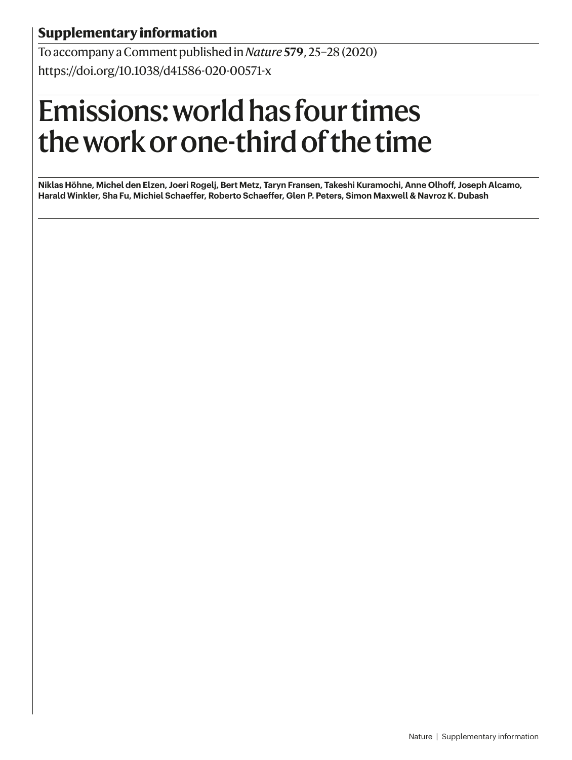# **Supplementary information**

To accompany a Comment published in *Nature* **579**, 25–28 (2020) https://doi.org/10.1038/d41586-020-00571-x

# Emissions: world has four times the work or one-third of the time

**Niklas Höhne, Michel den Elzen, Joeri Rogelj, Bert Metz, Taryn Fransen, Takeshi Kuramochi, Anne Olhoff, Joseph Alcamo, Harald Winkler, Sha Fu, Michiel Schaeffer, Roberto Schaeffer, Glen P. Peters, Simon Maxwell & Navroz K. Dubash**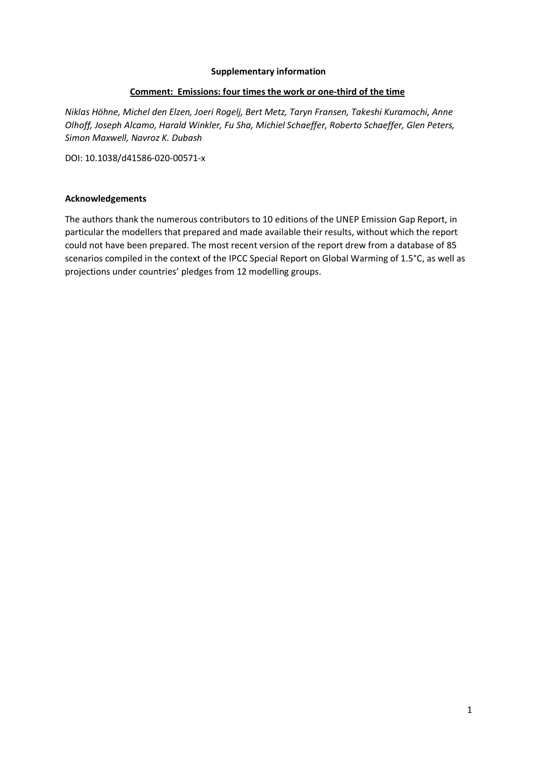## **Supplementary information**

## **Comment: Emissions: four times the work or one-third of the time**

*Niklas Höhne, Michel den Elzen, Joeri Rogelj, Bert Metz, Taryn Fransen, Takeshi Kuramochi, Anne Olhoff, Joseph Alcamo, Harald Winkler, Fu Sha, Michiel Schaeffer, Roberto Schaeffer, Glen Peters, Simon Maxwell, Navroz K. Dubash*

DOI: 10.1038/d41586-020-00571-x

## **Acknowledgements**

The authors thank the numerous contributors to 10 editions of the UNEP Emission Gap Report, in particular the modellers that prepared and made available their results, without which the report could not have been prepared. The most recent version of the report drew from a database of 85 scenarios compiled in the context of the IPCC Special Report on Global Warming of 1.5°C, as well as projections under countries' pledges from 12 modelling groups.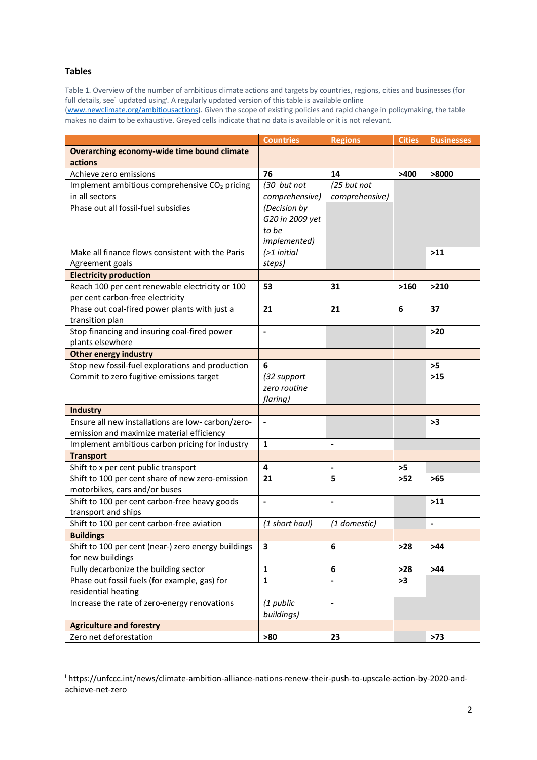#### **Tables**

Table 1. Overview of the number of ambitious climate actions and targets by countries, regions, cities and businesses (for full details, see<sup>1</sup> updated using<sup>*i*</sup>. A regularly updated version of this table is available online

(www.newclimate.org/ambitiousactions). Given the scope of existing policies and rapid change in policymaking, the table makes no claim to be exhaustive. Greyed cells indicate that no data is available or it is not relevant.

|                                                           | <b>Countries</b> | <b>Regions</b>           | <b>Cities</b> | <b>Businesses</b> |
|-----------------------------------------------------------|------------------|--------------------------|---------------|-------------------|
| Overarching economy-wide time bound climate               |                  |                          |               |                   |
| actions                                                   |                  |                          |               |                   |
| Achieve zero emissions                                    | 76               | 14                       | >400          | >8000             |
| Implement ambitious comprehensive CO <sub>2</sub> pricing | (30 but not      | (25 but not              |               |                   |
| in all sectors                                            | comprehensive)   | comprehensive)           |               |                   |
| Phase out all fossil-fuel subsidies                       | (Decision by     |                          |               |                   |
|                                                           | G20 in 2009 yet  |                          |               |                   |
|                                                           | to be            |                          |               |                   |
|                                                           | implemented)     |                          |               |                   |
| Make all finance flows consistent with the Paris          | $($ >1 initial   |                          |               | $>11$             |
| Agreement goals                                           | steps)           |                          |               |                   |
| <b>Electricity production</b>                             |                  |                          |               |                   |
| Reach 100 per cent renewable electricity or 100           | 53               | 31                       | >160          | >210              |
| per cent carbon-free electricity                          |                  |                          |               |                   |
| Phase out coal-fired power plants with just a             | 21               | 21                       | 6             | 37                |
| transition plan                                           |                  |                          |               |                   |
| Stop financing and insuring coal-fired power              | $\blacksquare$   |                          |               | $>20$             |
| plants elsewhere                                          |                  |                          |               |                   |
| <b>Other energy industry</b>                              |                  |                          |               |                   |
| Stop new fossil-fuel explorations and production          | 6                |                          |               | $>5$              |
| Commit to zero fugitive emissions target                  | (32 support      |                          |               | $>15$             |
|                                                           | zero routine     |                          |               |                   |
|                                                           | flaring)         |                          |               |                   |
| <b>Industry</b>                                           |                  |                          |               |                   |
| Ensure all new installations are low-carbon/zero-         | $\frac{1}{2}$    |                          |               | >3                |
| emission and maximize material efficiency                 |                  |                          |               |                   |
| Implement ambitious carbon pricing for industry           | $\mathbf{1}$     | $\overline{a}$           |               |                   |
| <b>Transport</b>                                          |                  |                          |               |                   |
| Shift to x per cent public transport                      | 4                | $\overline{\phantom{a}}$ | >5            |                   |
| Shift to 100 per cent share of new zero-emission          | 21               | 5                        | $>52$         | $>65$             |
| motorbikes, cars and/or buses                             |                  |                          |               |                   |
| Shift to 100 per cent carbon-free heavy goods             | $\blacksquare$   | $\overline{\phantom{a}}$ |               | $>11$             |
| transport and ships                                       |                  |                          |               |                   |
| Shift to 100 per cent carbon-free aviation                | (1 short haul)   | (1 domestic)             |               | $\frac{1}{2}$     |
| <b>Buildings</b>                                          |                  |                          |               |                   |
| Shift to 100 per cent (near-) zero energy buildings       | 3                | 6                        | $>28$         | >44               |
| for new buildings                                         |                  |                          |               |                   |
| Fully decarbonize the building sector                     | $\mathbf{1}$     | 6                        | $>28$         | $>44$             |
| Phase out fossil fuels (for example, gas) for             | $\mathbf{1}$     |                          | >3            |                   |
| residential heating                                       |                  |                          |               |                   |
| Increase the rate of zero-energy renovations              | (1 public        | $\overline{\phantom{a}}$ |               |                   |
|                                                           | buildings)       |                          |               |                   |
| <b>Agriculture and forestry</b>                           |                  |                          |               |                   |
| Zero net deforestation                                    | >80              | 23                       |               | $>73$             |

i https://unfccc.int/news/climate-ambition-alliance-nations-renew-their-push-to-upscale-action-by-2020-andachieve-net-zero